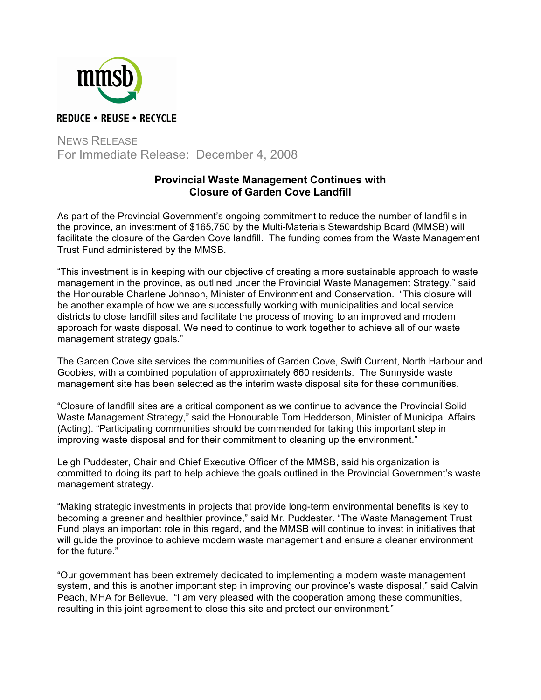

## NEWS RELEASE For Immediate Release: December 4, 2008

## **Provincial Waste Management Continues with Closure of Garden Cove Landfill**

As part of the Provincial Government's ongoing commitment to reduce the number of landfills in the province, an investment of \$165,750 by the Multi-Materials Stewardship Board (MMSB) will facilitate the closure of the Garden Cove landfill. The funding comes from the Waste Management Trust Fund administered by the MMSB.

"This investment is in keeping with our objective of creating a more sustainable approach to waste management in the province, as outlined under the Provincial Waste Management Strategy," said the Honourable Charlene Johnson, Minister of Environment and Conservation. "This closure will be another example of how we are successfully working with municipalities and local service districts to close landfill sites and facilitate the process of moving to an improved and modern approach for waste disposal. We need to continue to work together to achieve all of our waste management strategy goals."

The Garden Cove site services the communities of Garden Cove, Swift Current, North Harbour and Goobies, with a combined population of approximately 660 residents. The Sunnyside waste management site has been selected as the interim waste disposal site for these communities.

"Closure of landfill sites are a critical component as we continue to advance the Provincial Solid Waste Management Strategy," said the Honourable Tom Hedderson, Minister of Municipal Affairs (Acting). "Participating communities should be commended for taking this important step in improving waste disposal and for their commitment to cleaning up the environment."

Leigh Puddester, Chair and Chief Executive Officer of the MMSB, said his organization is committed to doing its part to help achieve the goals outlined in the Provincial Government's waste management strategy.

"Making strategic investments in projects that provide long-term environmental benefits is key to becoming a greener and healthier province," said Mr. Puddester. "The Waste Management Trust Fund plays an important role in this regard, and the MMSB will continue to invest in initiatives that will guide the province to achieve modern waste management and ensure a cleaner environment for the future."

"Our government has been extremely dedicated to implementing a modern waste management system, and this is another important step in improving our province's waste disposal," said Calvin Peach, MHA for Bellevue. "I am very pleased with the cooperation among these communities, resulting in this joint agreement to close this site and protect our environment."